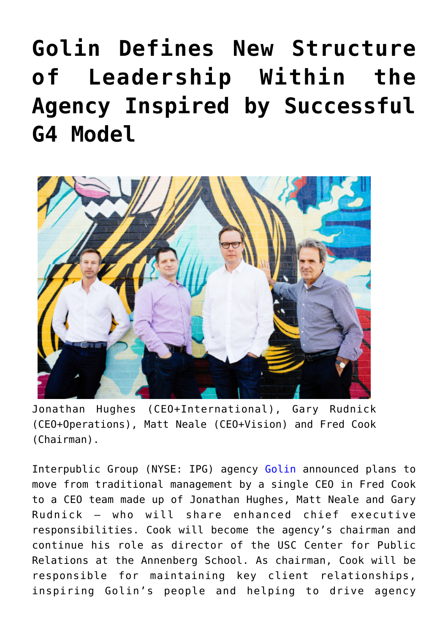## **[Golin Defines New Structure](https://www.commpro.biz/golin/) [of Leadership Within the](https://www.commpro.biz/golin/) [Agency Inspired by Successful](https://www.commpro.biz/golin/) [G4 Model](https://www.commpro.biz/golin/)**



Jonathan Hughes (CEO+International), Gary Rudnick (CEO+Operations), Matt Neale (CEO+Vision) and Fred Cook (Chairman).

Interpublic Group (NYSE: IPG) agency [Golin](https://golin.com/) announced plans to move from traditional management by a single CEO in Fred Cook to a CEO team made up of Jonathan Hughes, Matt Neale and Gary Rudnick – who will share enhanced chief executive responsibilities. Cook will become the agency's chairman and continue his role as director of the USC Center for Public Relations at the Annenberg School. As chairman, Cook will be responsible for maintaining key client relationships, inspiring Golin's people and helping to drive agency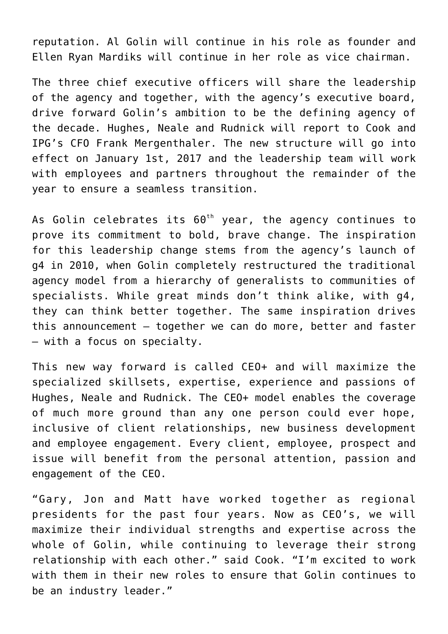reputation. Al Golin will continue in his role as founder and Ellen Ryan Mardiks will continue in her role as vice chairman.

The three chief executive officers will share the leadership of the agency and together, with the agency's executive board, drive forward Golin's ambition to be the defining agency of the decade. Hughes, Neale and Rudnick will report to Cook and IPG's CFO Frank Mergenthaler. The new structure will go into effect on January 1st, 2017 and the leadership team will work with employees and partners throughout the remainder of the year to ensure a seamless transition.

As Golin celebrates its  $60^{th}$  year, the agency continues to prove its commitment to bold, brave change. The inspiration for this leadership change stems from the agency's launch of g4 in 2010, when Golin completely restructured the traditional agency model from a hierarchy of generalists to communities of specialists. While great minds don't think alike, with g4, they can think better together. The same inspiration drives this announcement – together we can do more, better and faster – with a focus on specialty.

This new way forward is called CEO+ and will maximize the specialized skillsets, expertise, experience and passions of Hughes, Neale and Rudnick. The CEO+ model enables the coverage of much more ground than any one person could ever hope, inclusive of client relationships, new business development and employee engagement. Every client, employee, prospect and issue will benefit from the personal attention, passion and engagement of the CEO.

"Gary, Jon and Matt have worked together as regional presidents for the past four years. Now as CEO's, we will maximize their individual strengths and expertise across the whole of Golin, while continuing to leverage their strong relationship with each other." said Cook. "I'm excited to work with them in their new roles to ensure that Golin continues to be an industry leader."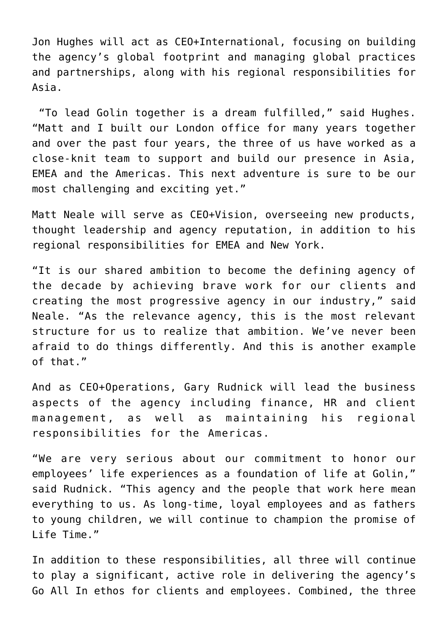Jon Hughes will act as CEO+International, focusing on building the agency's global footprint and managing global practices and partnerships, along with his regional responsibilities for Asia.

"To lead Golin together is a dream fulfilled," said Hughes. "Matt and I built our London office for many years together and over the past four years, the three of us have worked as a close-knit team to support and build our presence in Asia, EMEA and the Americas. This next adventure is sure to be our most challenging and exciting yet."

Matt Neale will serve as CEO+Vision, overseeing new products, thought leadership and agency reputation, in addition to his regional responsibilities for EMEA and New York.

"It is our shared ambition to become the defining agency of the decade by achieving brave work for our clients and creating the most progressive agency in our industry," said Neale. "As the relevance agency, this is the most relevant structure for us to realize that ambition. We've never been afraid to do things differently. And this is another example of that."

And as CEO+Operations, Gary Rudnick will lead the business aspects of the agency including finance, HR and client management, as well as maintaining his regional responsibilities for the Americas.

"We are very serious about our commitment to honor our employees' life experiences as a foundation of life at Golin," said Rudnick. "This agency and the people that work here mean everything to us. As long-time, loyal employees and as fathers to young children, we will continue to champion the promise of Life Time."

In addition to these responsibilities, all three will continue to play a significant, active role in delivering the agency's Go All In ethos for clients and employees. Combined, the three